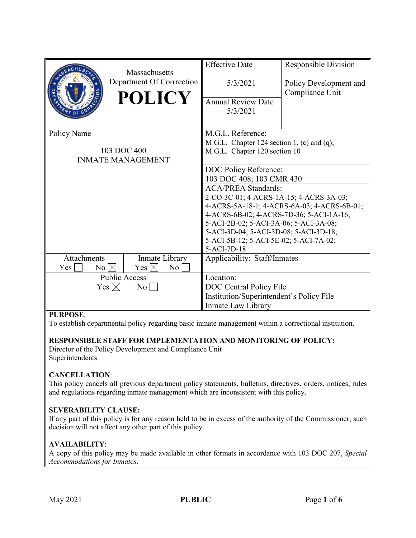|                                      | Massachusetts             | <b>Effective Date</b>                                                            | Responsible Division   |
|--------------------------------------|---------------------------|----------------------------------------------------------------------------------|------------------------|
|                                      | Department Of Corrrection | 5/3/2021                                                                         | Policy Development and |
|                                      | <b>POLICY</b>             | <b>Annual Review Date</b>                                                        | Compliance Unit        |
|                                      |                           | 5/3/2021                                                                         |                        |
|                                      |                           |                                                                                  |                        |
| Policy Name                          |                           | M.G.L. Reference:                                                                |                        |
|                                      |                           | M.G.L. Chapter 124 section 1, (c) and (q);                                       |                        |
| 103 DOC 400                          |                           | M.G.L. Chapter 120 section 10                                                    |                        |
| <b>INMATE MANAGEMENT</b>             |                           |                                                                                  |                        |
|                                      |                           | DOC Policy Reference:                                                            |                        |
|                                      |                           | 103 DOC 408; 103 CMR 430                                                         |                        |
|                                      |                           | <b>ACA/PREA Standards:</b>                                                       |                        |
|                                      |                           | 2-CO-3C-01; 4-ACRS-1A-15; 4-ACRS-3A-03;                                          |                        |
|                                      |                           | 4-ACRS-5A-18-1; 4-ACRS-6A-03; 4-ACRS-6B-01;                                      |                        |
|                                      |                           | 4-ACRS-6B-02; 4-ACRS-7D-36; 5-ACI-1A-16;                                         |                        |
|                                      |                           | 5-ACI-2B-02; 5-ACI-3A-06; 5-ACI-3A-08;<br>5-ACI-3D-04; 5-ACI-3D-08; 5-ACI-3D-18; |                        |
|                                      |                           | 5-ACI-5B-12; 5-ACI-5E-02; 5-ACI-7A-02;                                           |                        |
|                                      |                           | 5-ACI-7D-18                                                                      |                        |
| Inmate Library<br><b>Attachments</b> |                           | Applicability: Staff/Inmates                                                     |                        |
| Yes <sup>1</sup><br>No $\boxtimes$   | Yes $\boxtimes$<br>No     |                                                                                  |                        |
| <b>Public Access</b>                 |                           | Location:                                                                        |                        |
| Yes $\boxtimes$<br>$\rm{No}$         |                           | DOC Central Policy File                                                          |                        |
|                                      |                           | Institution/Superintendent's Policy File                                         |                        |
|                                      |                           | Inmate Law Library                                                               |                        |
| <b>DIIDDACE</b>                      |                           |                                                                                  |                        |

### **PURPOSE**:

To establish departmental policy regarding basic inmate management within a correctional institution.

#### **RESPONSIBLE STAFF FOR IMPLEMENTATION AND MONITORING OF POLICY:**

Director of the Policy Development and Compliance Unit Superintendents

### **CANCELLATION**:

This policy cancels all previous department policy statements, bulletins, directives, orders, notices, rules and regulations regarding inmate management which are inconsistent with this policy.

#### **SEVERABILITY CLAUSE:**

If any part of this policy is for any reason held to be in excess of the authority of the Commissioner, such decision will not affect any other part of this policy.

### **AVAILABILITY**:

A copy of this policy may be made available in other formats in accordance with 103 DOC 207, *Special Accommodations for Inmates*.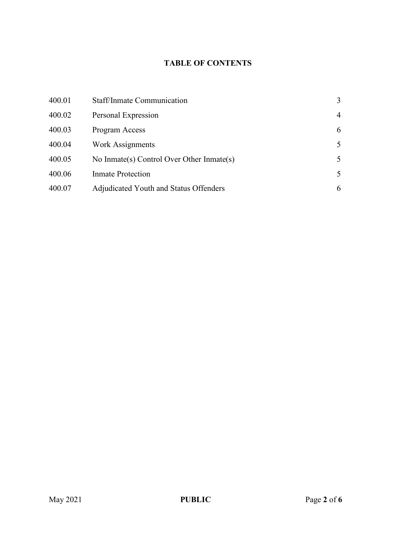# **TABLE OF CONTENTS**

| 400.01 | Staff/Inmate Communication                | 3 |
|--------|-------------------------------------------|---|
| 400.02 | Personal Expression                       | 4 |
| 400.03 | Program Access                            | 6 |
| 400.04 | Work Assignments                          | 5 |
| 400.05 | No Inmate(s) Control Over Other Inmate(s) | 5 |
| 400.06 | <b>Inmate Protection</b>                  | 5 |
| 400.07 | Adjudicated Youth and Status Offenders    | 6 |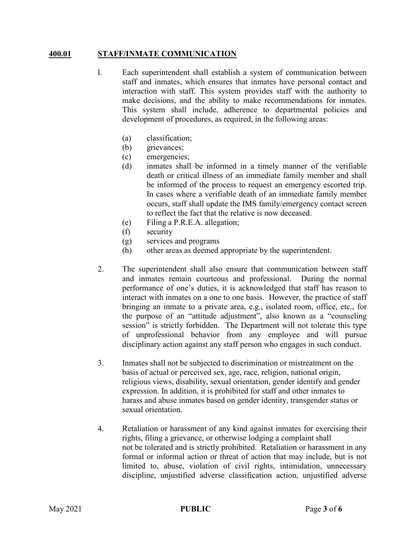### **400.01 STAFF/INMATE COMMUNICATION**

- l. Each superintendent shall establish a system of communication between staff and inmates, which ensures that inmates have personal contact and interaction with staff. This system provides staff with the authority to make decisions, and the ability to make recommendations for inmates. This system shall include, adherence to departmental policies and development of procedures, as required, in the following areas:
	- (a) classification;
	- (b) grievances;
	- (c) emergencies;
	- (d) inmates shall be informed in a timely manner of the verifiable death or critical illness of an immediate family member and shall be informed of the process to request an emergency escorted trip. In cases where a verifiable death of an immediate family member occurs, staff shall update the IMS family/emergency contact screen to reflect the fact that the relative is now deceased.
	- (e) Filing a P.R.E.A. allegation;
	- (f) security
	- (g) services and programs
	- (h) other areas as deemed appropriate by the superintendent.
- 2. The superintendent shall also ensure that communication between staff and inmates remain courteous and professional. During the normal performance of one's duties, it is acknowledged that staff has reason to interact with inmates on a one to one basis. However, the practice of staff bringing an inmate to a private area, e.g., isolated room, office, etc., for the purpose of an "attitude adjustment", also known as a "counseling session" is strictly forbidden. The Department will not tolerate this type of unprofessional behavior from any employee and will pursue disciplinary action against any staff person who engages in such conduct.
- 3. Inmates shall not be subjected to discrimination or mistreatment on the basis of actual or perceived sex, age, race, religion, national origin, religious views, disability, sexual orientation, gender identify and gender expression. In addition, it is prohibited for staff and other inmates to harass and abuse inmates based on gender identity, transgender status or sexual orientation.
- 4. Retaliation or harassment of any kind against inmates for exercising their rights, filing a grievance, or otherwise lodging a complaint shall not be tolerated and is strictly prohibited. Retaliation or harassment in any formal or informal action or threat of action that may include, but is not limited to, abuse, violation of civil rights, intimidation, unnecessary discipline, unjustified adverse classification action, unjustified adverse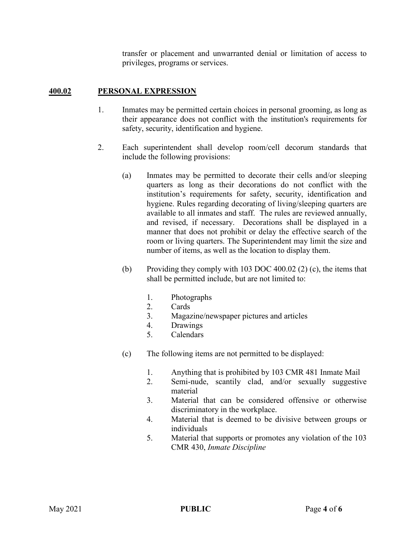transfer or placement and unwarranted denial or limitation of access to privileges, programs or services.

# **400.02 PERSONAL EXPRESSION**

- 1. Inmates may be permitted certain choices in personal grooming, as long as their appearance does not conflict with the institution's requirements for safety, security, identification and hygiene.
- 2. Each superintendent shall develop room/cell decorum standards that include the following provisions:
	- (a) Inmates may be permitted to decorate their cells and/or sleeping quarters as long as their decorations do not conflict with the institution's requirements for safety, security, identification and hygiene. Rules regarding decorating of living/sleeping quarters are available to all inmates and staff. The rules are reviewed annually, and revised, if necessary. Decorations shall be displayed in a manner that does not prohibit or delay the effective search of the room or living quarters. The Superintendent may limit the size and number of items, as well as the location to display them.
	- (b) Providing they comply with 103 DOC 400.02 (2) (c), the items that shall be permitted include, but are not limited to:
		- 1. Photographs
		- 2. Cards
		- 3. Magazine/newspaper pictures and articles
		- 4. Drawings
		- 5. Calendars
	- (c) The following items are not permitted to be displayed:
		- 1. Anything that is prohibited by 103 CMR 481 Inmate Mail
		- 2. Semi-nude, scantily clad, and/or sexually suggestive material
		- 3. Material that can be considered offensive or otherwise discriminatory in the workplace.
		- 4. Material that is deemed to be divisive between groups or individuals
		- 5. Material that supports or promotes any violation of the 103 CMR 430, *Inmate Discipline*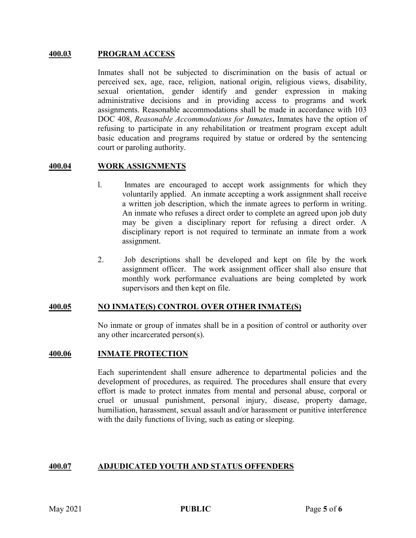### **400.03 PROGRAM ACCESS**

Inmates shall not be subjected to discrimination on the basis of actual or perceived sex, age, race, religion, national origin, religious views, disability, sexual orientation, gender identify and gender expression in making administrative decisions and in providing access to programs and work assignments. Reasonable accommodations shall be made in accordance with 103 DOC 408, *Reasonable Accommodations for Inmates***.** Inmates have the option of refusing to participate in any rehabilitation or treatment program except adult basic education and programs required by statue or ordered by the sentencing court or paroling authority.

### **400.04 WORK ASSIGNMENTS**

- l. Inmates are encouraged to accept work assignments for which they voluntarily applied. An inmate accepting a work assignment shall receive a written job description, which the inmate agrees to perform in writing. An inmate who refuses a direct order to complete an agreed upon job duty may be given a disciplinary report for refusing a direct order. A disciplinary report is not required to terminate an inmate from a work assignment.
- 2. Job descriptions shall be developed and kept on file by the work assignment officer. The work assignment officer shall also ensure that monthly work performance evaluations are being completed by work supervisors and then kept on file.

### **400.05 NO INMATE(S) CONTROL OVER OTHER INMATE(S)**

No inmate or group of inmates shall be in a position of control or authority over any other incarcerated person(s).

### **400.06 INMATE PROTECTION**

Each superintendent shall ensure adherence to departmental policies and the development of procedures, as required. The procedures shall ensure that every effort is made to protect inmates from mental and personal abuse, corporal or cruel or unusual punishment, personal injury, disease, property damage, humiliation, harassment, sexual assault and/or harassment or punitive interference with the daily functions of living, such as eating or sleeping.

# **400.07 ADJUDICATED YOUTH AND STATUS OFFENDERS**